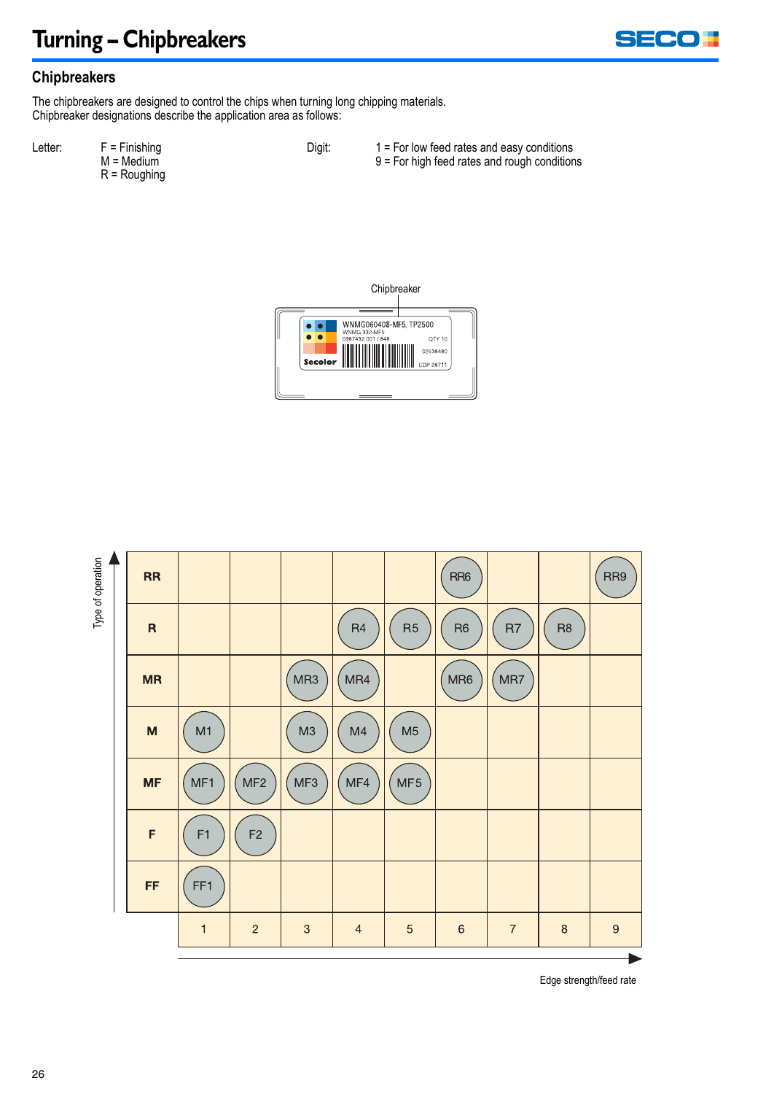### **Turning – Chipbreakers**



#### **Chipbreakers**

The chipbreakers are designed to control the chips when turning long chipping materials. Chipbreaker designations describe the application area as follows:

Letter: F = Finishing  $M = \text{Median}$ R = Roughing

- 
- Digit: 1 = For low feed rates and easy conditions
	- 9 = For high feed rates and rough conditions





Edge strength/feed rate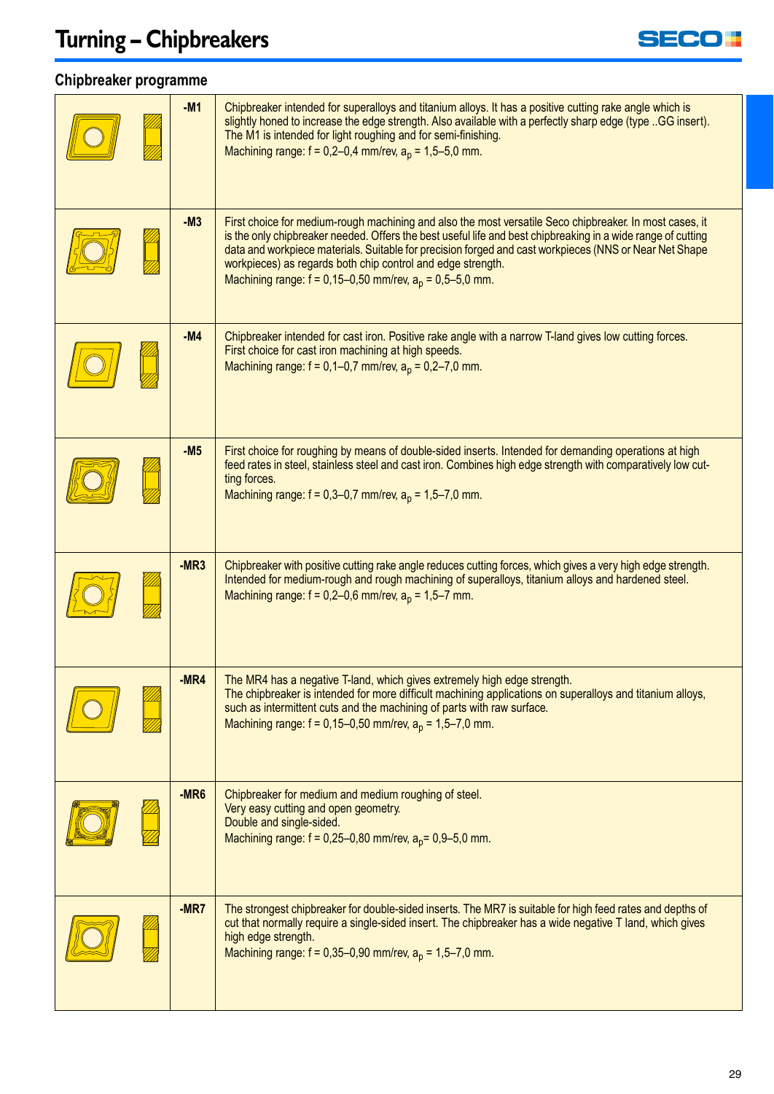# **Turning – Chipbreakers**



#### **Chipbreaker programme**

| $-M1$            | Chipbreaker intended for superalloys and titanium alloys. It has a positive cutting rake angle which is<br>slightly honed to increase the edge strength. Also available with a perfectly sharp edge (type  GG insert).<br>The M1 is intended for light roughing and for semi-finishing.<br>Machining range: $f = 0,2-0,4$ mm/rev, $a_p = 1,5-5,0$ mm.                                                                                                                   |
|------------------|-------------------------------------------------------------------------------------------------------------------------------------------------------------------------------------------------------------------------------------------------------------------------------------------------------------------------------------------------------------------------------------------------------------------------------------------------------------------------|
| $-M3$            | <u>First choice for medium-rough machining and also the most versatile Seco chipbreaker. In most cases, it</u><br>is the only chipbreaker needed. Offers the best useful life and best chipbreaking in a wide range of cutting<br>data and workpiece materials. Suitable for precision forged and cast workpieces (NNS or Near Net Shape<br>workpieces) as regards both chip control and edge strength.<br>Machining range: $f = 0,15-0,50$ mm/rev, $a_p = 0,5-5,0$ mm. |
| -M4              | Chipbreaker intended for cast iron. Positive rake angle with a narrow T-land gives low cutting forces.<br>First choice for cast iron machining at high speeds.<br>Machining range: $f = 0,1-0,7$ mm/rev, $a_p = 0,2-7,0$ mm.                                                                                                                                                                                                                                            |
| $-M5$            | First choice for roughing by means of double-sided inserts. Intended for demanding operations at high<br>feed rates in steel, stainless steel and cast iron. Combines high edge strength with comparatively low cut-<br>ting forces.<br>Machining range: $f = 0,3-0,7$ mm/rev, $a_p = 1,5-7,0$ mm.                                                                                                                                                                      |
| $-MR3$           | <u>Chipbreaker with positive cutting rake angle reduces cutting forces, which gives a very high edge strength.</u><br>Intended for medium-rough and rough machining of superalloys, titanium alloys and hardened steel.<br>Machining range: $f = 0,2-0,6$ mm/rev, $a_p = 1,5-7$ mm.                                                                                                                                                                                     |
| $-MR4$           | The MR4 has a negative T-land, which gives extremely high edge strength.<br>The chipbreaker is intended for more difficult machining applications on superalloys and titanium alloys,<br>such as intermittent cuts and the machining of parts with raw surface.<br>Machining range: $f = 0,15-0,50$ mm/rev, $a_p = 1,5-7,0$ mm.                                                                                                                                         |
| -MR <sub>6</sub> | Chipbreaker for medium and medium roughing of steel.<br>Very easy cutting and open geometry.<br>Double and single-sided.<br>Machining range: $f = 0,25-0,80$ mm/rev, $a_p = 0,9-5,0$ mm.                                                                                                                                                                                                                                                                                |
| $-MR7$           | The strongest chipbreaker for double-sided inserts. The MR7 is suitable for high feed rates and depths of<br>cut that normally require a single-sided insert. The chipbreaker has a wide negative T land, which gives<br>high edge strength.<br>Machining range: $f = 0,35-0,90$ mm/rev, $a_p = 1,5-7,0$ mm.                                                                                                                                                            |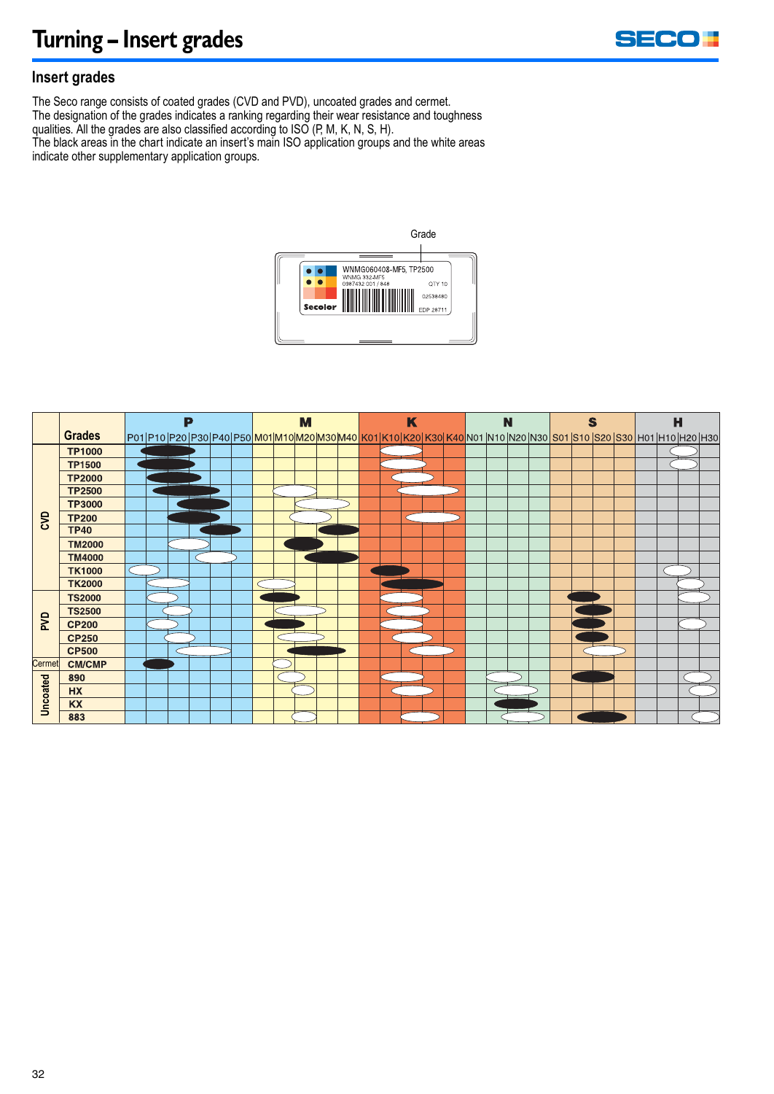

#### **Insert grades**

The Seco range consists of coated grades (CVD and PVD), uncoated grades and cermet. The designation of the grades indicates a ranking regarding their wear resistance and toughness qualities. All the grades are also classified according to ISO (P, M, K, N, S, H). The black areas in the chart indicate an insert's main ISO application groups and the white areas indicate other supplementary application groups.



|            |               |  | P |  |  | M |  | K |  |  |  |  | N |  |  |  | S |  |  |  | н |  |                                                                                                                                |  |
|------------|---------------|--|---|--|--|---|--|---|--|--|--|--|---|--|--|--|---|--|--|--|---|--|--------------------------------------------------------------------------------------------------------------------------------|--|
|            | Grades        |  |   |  |  |   |  |   |  |  |  |  |   |  |  |  |   |  |  |  |   |  | P01 P10 P20 P30 P40 P50 <mark> M01 M10 M20 M30 M40 K01 K10 K20 K30 K40</mark>  N01 N10 N20 N30 S01 S10 S20 S30 H01 H10 H20 H30 |  |
| ξ          | <b>TP1000</b> |  |   |  |  |   |  |   |  |  |  |  |   |  |  |  |   |  |  |  |   |  |                                                                                                                                |  |
|            | <b>TP1500</b> |  |   |  |  |   |  |   |  |  |  |  |   |  |  |  |   |  |  |  |   |  |                                                                                                                                |  |
|            | <b>TP2000</b> |  |   |  |  |   |  |   |  |  |  |  |   |  |  |  |   |  |  |  |   |  |                                                                                                                                |  |
|            | <b>TP2500</b> |  |   |  |  |   |  |   |  |  |  |  |   |  |  |  |   |  |  |  |   |  |                                                                                                                                |  |
|            | <b>TP3000</b> |  |   |  |  |   |  |   |  |  |  |  |   |  |  |  |   |  |  |  |   |  |                                                                                                                                |  |
|            | <b>TP200</b>  |  |   |  |  |   |  |   |  |  |  |  |   |  |  |  |   |  |  |  |   |  |                                                                                                                                |  |
|            | <b>TP40</b>   |  |   |  |  |   |  |   |  |  |  |  |   |  |  |  |   |  |  |  |   |  |                                                                                                                                |  |
|            | <b>TM2000</b> |  |   |  |  |   |  |   |  |  |  |  |   |  |  |  |   |  |  |  |   |  |                                                                                                                                |  |
|            | <b>TM4000</b> |  |   |  |  |   |  |   |  |  |  |  |   |  |  |  |   |  |  |  |   |  |                                                                                                                                |  |
|            | <b>TK1000</b> |  |   |  |  |   |  |   |  |  |  |  |   |  |  |  |   |  |  |  |   |  |                                                                                                                                |  |
|            | <b>TK2000</b> |  |   |  |  |   |  |   |  |  |  |  |   |  |  |  |   |  |  |  |   |  |                                                                                                                                |  |
| <b>PVD</b> | <b>TS2000</b> |  |   |  |  |   |  |   |  |  |  |  |   |  |  |  |   |  |  |  |   |  |                                                                                                                                |  |
|            | <b>TS2500</b> |  |   |  |  |   |  |   |  |  |  |  |   |  |  |  |   |  |  |  |   |  |                                                                                                                                |  |
|            | <b>CP200</b>  |  |   |  |  |   |  |   |  |  |  |  |   |  |  |  |   |  |  |  |   |  |                                                                                                                                |  |
|            | <b>CP250</b>  |  |   |  |  |   |  |   |  |  |  |  |   |  |  |  |   |  |  |  |   |  |                                                                                                                                |  |
|            | <b>CP500</b>  |  |   |  |  |   |  |   |  |  |  |  |   |  |  |  |   |  |  |  |   |  |                                                                                                                                |  |
| Cermet     | <b>CM/CMP</b> |  |   |  |  |   |  |   |  |  |  |  |   |  |  |  |   |  |  |  |   |  |                                                                                                                                |  |
| Uncoated   | 890           |  |   |  |  |   |  |   |  |  |  |  |   |  |  |  |   |  |  |  |   |  |                                                                                                                                |  |
|            | <b>HX</b>     |  |   |  |  |   |  |   |  |  |  |  |   |  |  |  |   |  |  |  |   |  |                                                                                                                                |  |
|            | KX            |  |   |  |  |   |  |   |  |  |  |  |   |  |  |  |   |  |  |  |   |  |                                                                                                                                |  |
|            | 883           |  |   |  |  |   |  |   |  |  |  |  |   |  |  |  |   |  |  |  |   |  |                                                                                                                                |  |